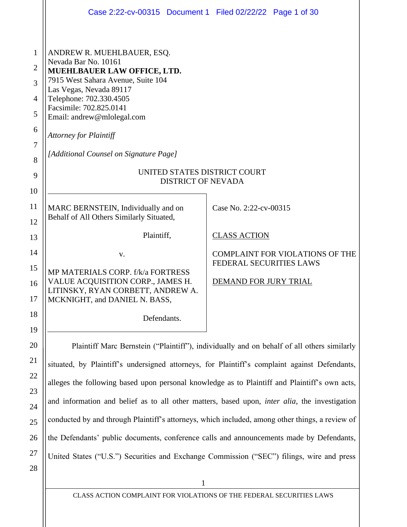|                                                                                  | Case 2:22-cv-00315 Document 1 Filed 02/22/22 Page 1 of 30                                                                                                                                                                                                                                                                                                                      |                                                                   |  |  |  |
|----------------------------------------------------------------------------------|--------------------------------------------------------------------------------------------------------------------------------------------------------------------------------------------------------------------------------------------------------------------------------------------------------------------------------------------------------------------------------|-------------------------------------------------------------------|--|--|--|
| 1<br>$\overline{2}$<br>3<br>$\overline{4}$<br>5<br>6<br>$\overline{7}$<br>8<br>9 | ANDREW R. MUEHLBAUER, ESQ.<br>Nevada Bar No. 10161<br>MUEHLBAUER LAW OFFICE, LTD.<br>7915 West Sahara Avenue, Suite 104<br>Las Vegas, Nevada 89117<br>Telephone: 702.330.4505<br>Facsimile: 702.825.0141<br>Email: andrew@mlolegal.com<br><b>Attorney for Plaintiff</b><br>[Additional Counsel on Signature Page]<br>UNITED STATES DISTRICT COURT<br><b>DISTRICT OF NEVADA</b> |                                                                   |  |  |  |
| 10<br>11<br>12                                                                   | MARC BERNSTEIN, Individually and on<br>Behalf of All Others Similarly Situated,                                                                                                                                                                                                                                                                                                | Case No. 2:22-cv-00315                                            |  |  |  |
| 13                                                                               | Plaintiff,                                                                                                                                                                                                                                                                                                                                                                     | <b>CLASS ACTION</b>                                               |  |  |  |
| 14<br>15                                                                         | V.<br>MP MATERIALS CORP. f/k/a FORTRESS                                                                                                                                                                                                                                                                                                                                        | <b>COMPLAINT FOR VIOLATIONS OF THE</b><br>FEDERAL SECURITIES LAWS |  |  |  |
| 16<br>17                                                                         | VALUE ACQUISITION CORP., JAMES H.<br>LITINSKY, RYAN CORBETT, ANDREW A.<br>MCKNIGHT, and DANIEL N. BASS,                                                                                                                                                                                                                                                                        | DEMAND FOR JURY TRIAL                                             |  |  |  |
| 18                                                                               | Defendants.                                                                                                                                                                                                                                                                                                                                                                    |                                                                   |  |  |  |
| 19                                                                               |                                                                                                                                                                                                                                                                                                                                                                                |                                                                   |  |  |  |
| 20<br>21                                                                         | Plaintiff Marc Bernstein ("Plaintiff"), individually and on behalf of all others similarly                                                                                                                                                                                                                                                                                     |                                                                   |  |  |  |
| 22                                                                               | situated, by Plaintiff's undersigned attorneys, for Plaintiff's complaint against Defendants,                                                                                                                                                                                                                                                                                  |                                                                   |  |  |  |
| 23                                                                               | alleges the following based upon personal knowledge as to Plaintiff and Plaintiff's own acts,                                                                                                                                                                                                                                                                                  |                                                                   |  |  |  |
| 24                                                                               | and information and belief as to all other matters, based upon, <i>inter alia</i> , the investigation                                                                                                                                                                                                                                                                          |                                                                   |  |  |  |
| 25                                                                               | conducted by and through Plaintiff's attorneys, which included, among other things, a review of                                                                                                                                                                                                                                                                                |                                                                   |  |  |  |

the Defendants' public documents, conference calls and announcements made by Defendants,

United States ("U.S.") Securities and Exchange Commission ("SEC") filings, wire and press

28

26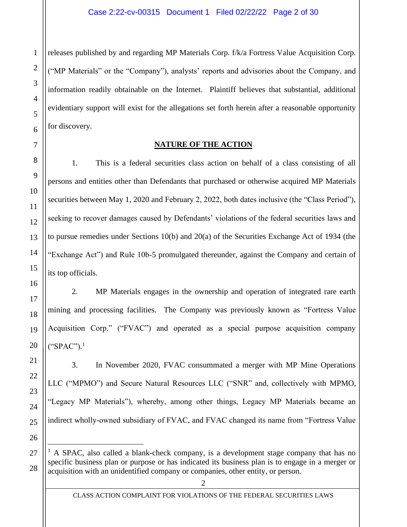releases published by and regarding MP Materials Corp. f/k/a Fortress Value Acquisition Corp. ("MP Materials" or the "Company"), analysts' reports and advisories about the Company, and information readily obtainable on the Internet. Plaintiff believes that substantial, additional evidentiary support will exist for the allegations set forth herein after a reasonable opportunity for discovery.

## **NATURE OF THE ACTION**

1. This is a federal securities class action on behalf of a class consisting of all persons and entities other than Defendants that purchased or otherwise acquired MP Materials securities between May 1, 2020 and February 2, 2022, both dates inclusive (the "Class Period"), seeking to recover damages caused by Defendants' violations of the federal securities laws and to pursue remedies under Sections 10(b) and 20(a) of the Securities Exchange Act of 1934 (the "Exchange Act") and Rule 10b-5 promulgated thereunder, against the Company and certain of its top officials.

2. MP Materials engages in the ownership and operation of integrated rare earth mining and processing facilities. The Company was previously known as "Fortress Value Acquisition Corp." ("FVAC") and operated as a special purpose acquisition company ("SPAC"). $^1$ 

3. In November 2020, FVAC consummated a merger with MP Mine Operations LLC ("MPMO") and Secure Natural Resources LLC ("SNR" and, collectively with MPMO, "Legacy MP Materials"), whereby, among other things, Legacy MP Materials became an indirect wholly-owned subsidiary of FVAC, and FVAC changed its name from "Fortress Value

1

 $<sup>1</sup>$  A SPAC, also called a blank-check company, is a development stage company that has no</sup> specific business plan or purpose or has indicated its business plan is to engage in a merger or acquisition with an unidentified company or companies, other entity, or person.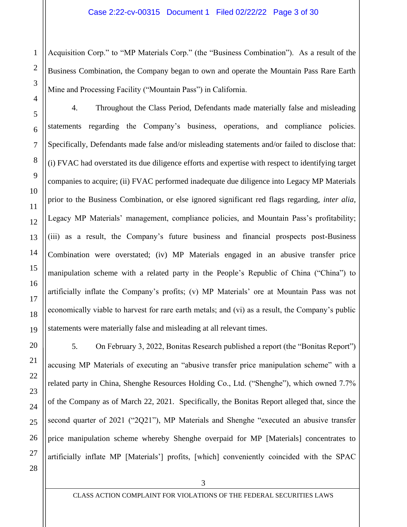Acquisition Corp." to "MP Materials Corp." (the "Business Combination"). As a result of the Business Combination, the Company began to own and operate the Mountain Pass Rare Earth Mine and Processing Facility ("Mountain Pass") in California.

4. Throughout the Class Period, Defendants made materially false and misleading statements regarding the Company's business, operations, and compliance policies. Specifically, Defendants made false and/or misleading statements and/or failed to disclose that: (i) FVAC had overstated its due diligence efforts and expertise with respect to identifying target companies to acquire; (ii) FVAC performed inadequate due diligence into Legacy MP Materials prior to the Business Combination, or else ignored significant red flags regarding, *inter alia*, Legacy MP Materials' management, compliance policies, and Mountain Pass's profitability; (iii) as a result, the Company's future business and financial prospects post-Business Combination were overstated; (iv) MP Materials engaged in an abusive transfer price manipulation scheme with a related party in the People's Republic of China ("China") to artificially inflate the Company's profits; (v) MP Materials' ore at Mountain Pass was not economically viable to harvest for rare earth metals; and (vi) as a result, the Company's public statements were materially false and misleading at all relevant times.

5. On February 3, 2022, Bonitas Research published a report (the "Bonitas Report") accusing MP Materials of executing an "abusive transfer price manipulation scheme" with a related party in China, Shenghe Resources Holding Co., Ltd. ("Shenghe"), which owned 7.7% of the Company as of March 22, 2021. Specifically, the Bonitas Report alleged that, since the second quarter of 2021 ("2Q21"), MP Materials and Shenghe "executed an abusive transfer price manipulation scheme whereby Shenghe overpaid for MP [Materials] concentrates to artificially inflate MP [Materials'] profits, [which] conveniently coincided with the SPAC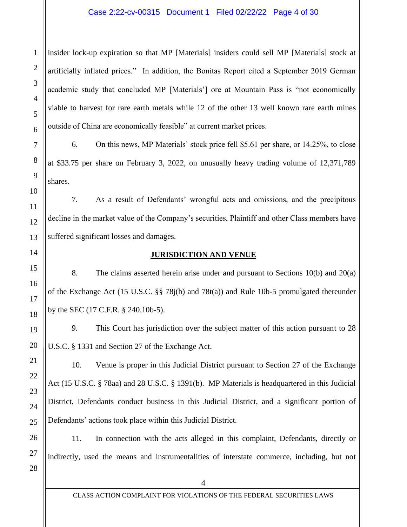### Case 2:22-cv-00315 Document 1 Filed 02/22/22 Page 4 of 30

insider lock-up expiration so that MP [Materials] insiders could sell MP [Materials] stock at artificially inflated prices." In addition, the Bonitas Report cited a September 2019 German academic study that concluded MP [Materials'] ore at Mountain Pass is "not economically viable to harvest for rare earth metals while 12 of the other 13 well known rare earth mines outside of China are economically feasible" at current market prices.

6. On this news, MP Materials' stock price fell \$5.61 per share, or 14.25%, to close at \$33.75 per share on February 3, 2022, on unusually heavy trading volume of 12,371,789 shares.

7. As a result of Defendants' wrongful acts and omissions, and the precipitous decline in the market value of the Company's securities, Plaintiff and other Class members have suffered significant losses and damages.

#### **JURISDICTION AND VENUE**

8. The claims asserted herein arise under and pursuant to Sections 10(b) and 20(a) of the Exchange Act (15 U.S.C. §§ 78j(b) and 78t(a)) and Rule 10b-5 promulgated thereunder by the SEC (17 C.F.R. § 240.10b-5).

9. This Court has jurisdiction over the subject matter of this action pursuant to 28 U.S.C. § 1331 and Section 27 of the Exchange Act.

10. Venue is proper in this Judicial District pursuant to Section 27 of the Exchange Act (15 U.S.C. § 78aa) and 28 U.S.C. § 1391(b). MP Materials is headquartered in this Judicial District, Defendants conduct business in this Judicial District, and a significant portion of Defendants' actions took place within this Judicial District.

11. In connection with the acts alleged in this complaint, Defendants, directly or indirectly, used the means and instrumentalities of interstate commerce, including, but not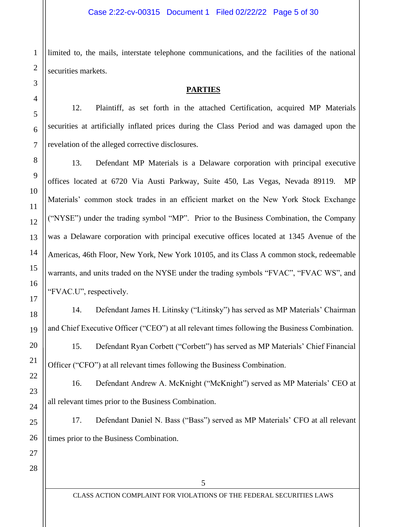limited to, the mails, interstate telephone communications, and the facilities of the national securities markets.

## **PARTIES**

12. Plaintiff, as set forth in the attached Certification, acquired MP Materials securities at artificially inflated prices during the Class Period and was damaged upon the revelation of the alleged corrective disclosures.

13. Defendant MP Materials is a Delaware corporation with principal executive offices located at 6720 Via Austi Parkway, Suite 450, Las Vegas, Nevada 89119. MP Materials' common stock trades in an efficient market on the New York Stock Exchange ("NYSE") under the trading symbol "MP". Prior to the Business Combination, the Company was a Delaware corporation with principal executive offices located at 1345 Avenue of the Americas, 46th Floor, New York, New York 10105, and its Class A common stock, redeemable warrants, and units traded on the NYSE under the trading symbols "FVAC", "FVAC WS", and "FVAC.U", respectively.

14. Defendant James H. Litinsky ("Litinsky") has served as MP Materials' Chairman and Chief Executive Officer ("CEO") at all relevant times following the Business Combination.

15. Defendant Ryan Corbett ("Corbett") has served as MP Materials' Chief Financial Officer ("CFO") at all relevant times following the Business Combination.

16. Defendant Andrew A. McKnight ("McKnight") served as MP Materials' CEO at all relevant times prior to the Business Combination.

17. Defendant Daniel N. Bass ("Bass") served as MP Materials' CFO at all relevant times prior to the Business Combination.

25 26 27

5

1

2

3

4

5

6

7

8

9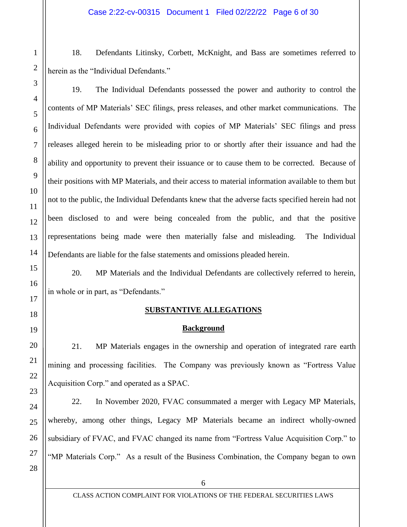18. Defendants Litinsky, Corbett, McKnight, and Bass are sometimes referred to herein as the "Individual Defendants."

19. The Individual Defendants possessed the power and authority to control the contents of MP Materials' SEC filings, press releases, and other market communications. The Individual Defendants were provided with copies of MP Materials' SEC filings and press releases alleged herein to be misleading prior to or shortly after their issuance and had the ability and opportunity to prevent their issuance or to cause them to be corrected. Because of their positions with MP Materials, and their access to material information available to them but not to the public, the Individual Defendants knew that the adverse facts specified herein had not been disclosed to and were being concealed from the public, and that the positive representations being made were then materially false and misleading. The Individual Defendants are liable for the false statements and omissions pleaded herein.

20. MP Materials and the Individual Defendants are collectively referred to herein, in whole or in part, as "Defendants."

# **SUBSTANTIVE ALLEGATIONS**

## **Background**

21. MP Materials engages in the ownership and operation of integrated rare earth mining and processing facilities. The Company was previously known as "Fortress Value Acquisition Corp." and operated as a SPAC.

22. In November 2020, FVAC consummated a merger with Legacy MP Materials, whereby, among other things, Legacy MP Materials became an indirect wholly-owned subsidiary of FVAC, and FVAC changed its name from "Fortress Value Acquisition Corp." to "MP Materials Corp." As a result of the Business Combination, the Company began to own

1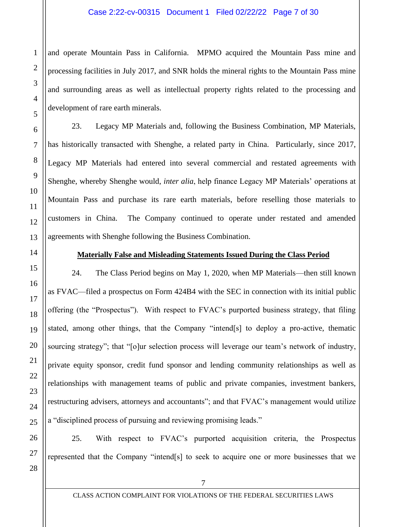and operate Mountain Pass in California. MPMO acquired the Mountain Pass mine and processing facilities in July 2017, and SNR holds the mineral rights to the Mountain Pass mine and surrounding areas as well as intellectual property rights related to the processing and development of rare earth minerals.

23. Legacy MP Materials and, following the Business Combination, MP Materials, has historically transacted with Shenghe, a related party in China. Particularly, since 2017, Legacy MP Materials had entered into several commercial and restated agreements with Shenghe, whereby Shenghe would, *inter alia*, help finance Legacy MP Materials' operations at Mountain Pass and purchase its rare earth materials, before reselling those materials to customers in China. The Company continued to operate under restated and amended agreements with Shenghe following the Business Combination.

## **Materially False and Misleading Statements Issued During the Class Period**

24. The Class Period begins on May 1, 2020, when MP Materials—then still known as FVAC—filed a prospectus on Form 424B4 with the SEC in connection with its initial public offering (the "Prospectus"). With respect to FVAC's purported business strategy, that filing stated, among other things, that the Company "intend[s] to deploy a pro-active, thematic sourcing strategy"; that "[o]ur selection process will leverage our team's network of industry, private equity sponsor, credit fund sponsor and lending community relationships as well as relationships with management teams of public and private companies, investment bankers, restructuring advisers, attorneys and accountants"; and that FVAC's management would utilize a "disciplined process of pursuing and reviewing promising leads."

25. With respect to FVAC's purported acquisition criteria, the Prospectus represented that the Company "intend[s] to seek to acquire one or more businesses that we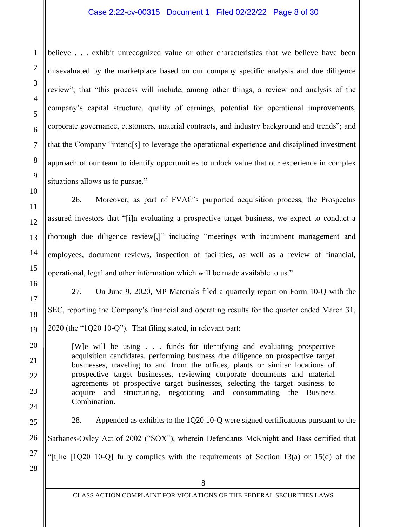## Case 2:22-cv-00315 Document 1 Filed 02/22/22 Page 8 of 30

believe . . . exhibit unrecognized value or other characteristics that we believe have been misevaluated by the marketplace based on our company specific analysis and due diligence review"; that "this process will include, among other things, a review and analysis of the company's capital structure, quality of earnings, potential for operational improvements, corporate governance, customers, material contracts, and industry background and trends"; and that the Company "intend[s] to leverage the operational experience and disciplined investment approach of our team to identify opportunities to unlock value that our experience in complex situations allows us to pursue."

26. Moreover, as part of FVAC's purported acquisition process, the Prospectus assured investors that "[i]n evaluating a prospective target business, we expect to conduct a thorough due diligence review[,]" including "meetings with incumbent management and employees, document reviews, inspection of facilities, as well as a review of financial, operational, legal and other information which will be made available to us."

27. On June 9, 2020, MP Materials filed a quarterly report on Form 10-Q with the SEC, reporting the Company's financial and operating results for the quarter ended March 31, 2020 (the "1Q20 10-Q"). That filing stated, in relevant part:

[W]e will be using . . . funds for identifying and evaluating prospective acquisition candidates, performing business due diligence on prospective target businesses, traveling to and from the offices, plants or similar locations of prospective target businesses, reviewing corporate documents and material agreements of prospective target businesses, selecting the target business to acquire and structuring, negotiating and consummating the Business Combination.

28. Appended as exhibits to the 1Q20 10-Q were signed certifications pursuant to the Sarbanes-Oxley Act of 2002 ("SOX"), wherein Defendants McKnight and Bass certified that "[t]he [1Q20 10-Q] fully complies with the requirements of Section 13(a) or 15(d) of the

1

2

3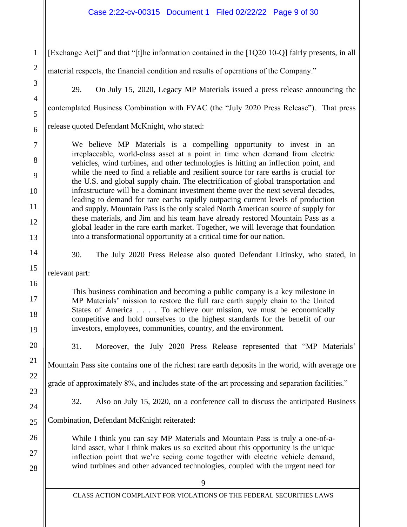## Case 2:22-cv-00315 Document 1 Filed 02/22/22 Page 9 of 30

9 CLASS ACTION COMPLAINT FOR VIOLATIONS OF THE FEDERAL SECURITIES LAWS 1 2 3 4 5 6 7 8 9 10 11 12 13 14 15 16 17 18 19 20 21 22 23 24 25 26 27 28 [Exchange Act]" and that "[t]he information contained in the [1Q20 10-Q] fairly presents, in all material respects, the financial condition and results of operations of the Company." 29. On July 15, 2020, Legacy MP Materials issued a press release announcing the contemplated Business Combination with FVAC (the "July 2020 Press Release"). That press release quoted Defendant McKnight, who stated: We believe MP Materials is a compelling opportunity to invest in an irreplaceable, world‐class asset at a point in time when demand from electric vehicles, wind turbines, and other technologies is hitting an inflection point, and while the need to find a reliable and resilient source for rare earths is crucial for the U.S. and global supply chain. The electrification of global transportation and infrastructure will be a dominant investment theme over the next several decades, leading to demand for rare earths rapidly outpacing current levels of production and supply. Mountain Pass is the only scaled North American source of supply for these materials, and Jim and his team have already restored Mountain Pass as a global leader in the rare earth market. Together, we will leverage that foundation into a transformational opportunity at a critical time for our nation. 30. The July 2020 Press Release also quoted Defendant Litinsky, who stated, in relevant part: This business combination and becoming a public company is a key milestone in MP Materials' mission to restore the full rare earth supply chain to the United States of America . . . . To achieve our mission, we must be economically competitive and hold ourselves to the highest standards for the benefit of our investors, employees, communities, country, and the environment. 31. Moreover, the July 2020 Press Release represented that "MP Materials' Mountain Pass site contains one of the richest rare earth deposits in the world, with average ore grade of approximately 8%, and includes state-of-the-art processing and separation facilities." 32. Also on July 15, 2020, on a conference call to discuss the anticipated Business Combination, Defendant McKnight reiterated: While I think you can say MP Materials and Mountain Pass is truly a one-of-akind asset, what I think makes us so excited about this opportunity is the unique inflection point that we're seeing come together with electric vehicle demand, wind turbines and other advanced technologies, coupled with the urgent need for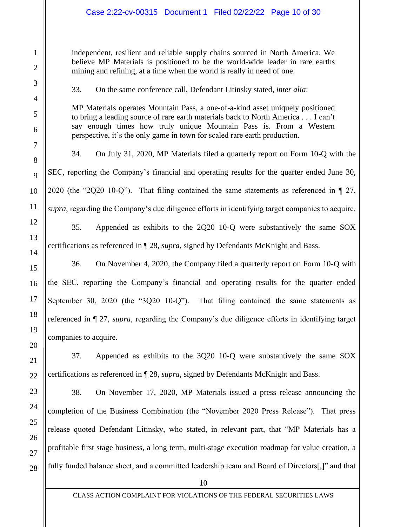independent, resilient and reliable supply chains sourced in North America. We believe MP Materials is positioned to be the world-wide leader in rare earths mining and refining, at a time when the world is really in need of one.

33. On the same conference call, Defendant Litinsky stated, *inter alia*:

MP Materials operates Mountain Pass, a one-of-a-kind asset uniquely positioned to bring a leading source of rare earth materials back to North America . . . I can't say enough times how truly unique Mountain Pass is. From a Western perspective, it's the only game in town for scaled rare earth production.

34. On July 31, 2020, MP Materials filed a quarterly report on Form 10-Q with the SEC, reporting the Company's financial and operating results for the quarter ended June 30, 2020 (the "2Q20 10-Q"). That filing contained the same statements as referenced in ¶ 27, *supra*, regarding the Company's due diligence efforts in identifying target companies to acquire.

35. Appended as exhibits to the 2Q20 10-Q were substantively the same SOX certifications as referenced in ¶ 28, *supra*, signed by Defendants McKnight and Bass.

36. On November 4, 2020, the Company filed a quarterly report on Form 10-Q with the SEC, reporting the Company's financial and operating results for the quarter ended September 30, 2020 (the "3Q20 10-Q"). That filing contained the same statements as referenced in ¶ 27, *supra*, regarding the Company's due diligence efforts in identifying target companies to acquire.

37. Appended as exhibits to the 3Q20 10-Q were substantively the same SOX certifications as referenced in ¶ 28, *supra*, signed by Defendants McKnight and Bass.

38. On November 17, 2020, MP Materials issued a press release announcing the completion of the Business Combination (the "November 2020 Press Release"). That press release quoted Defendant Litinsky, who stated, in relevant part, that "MP Materials has a profitable first stage business, a long term, multi-stage execution roadmap for value creation, a fully funded balance sheet, and a committed leadership team and Board of Directors[,]" and that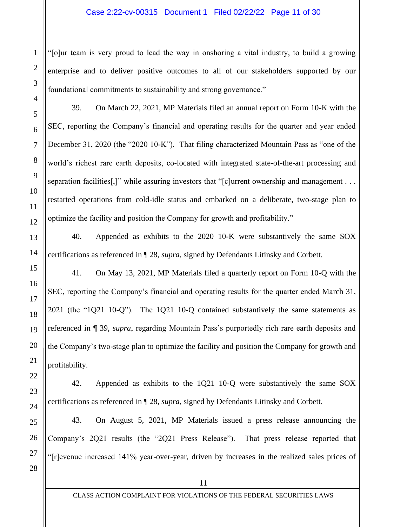### Case 2:22-cv-00315 Document 1 Filed 02/22/22 Page 11 of 30

"[o]ur team is very proud to lead the way in onshoring a vital industry, to build a growing enterprise and to deliver positive outcomes to all of our stakeholders supported by our foundational commitments to sustainability and strong governance."

39. On March 22, 2021, MP Materials filed an annual report on Form 10-K with the SEC, reporting the Company's financial and operating results for the quarter and year ended December 31, 2020 (the "2020 10-K"). That filing characterized Mountain Pass as "one of the world's richest rare earth deposits, co-located with integrated state-of-the-art processing and separation facilities[,]" while assuring investors that "[c]urrent ownership and management . . . restarted operations from cold-idle status and embarked on a deliberate, two-stage plan to optimize the facility and position the Company for growth and profitability."

40. Appended as exhibits to the 2020 10-K were substantively the same SOX certifications as referenced in ¶ 28, *supra*, signed by Defendants Litinsky and Corbett.

41. On May 13, 2021, MP Materials filed a quarterly report on Form 10-Q with the SEC, reporting the Company's financial and operating results for the quarter ended March 31, 2021 (the "1Q21 10-Q"). The 1Q21 10-Q contained substantively the same statements as referenced in ¶ 39, *supra*, regarding Mountain Pass's purportedly rich rare earth deposits and the Company's two-stage plan to optimize the facility and position the Company for growth and profitability.

42. Appended as exhibits to the 1Q21 10-Q were substantively the same SOX certifications as referenced in ¶ 28, *supra*, signed by Defendants Litinsky and Corbett.

43. On August 5, 2021, MP Materials issued a press release announcing the Company's 2Q21 results (the "2Q21 Press Release"). That press release reported that "[r]evenue increased 141% year-over-year, driven by increases in the realized sales prices of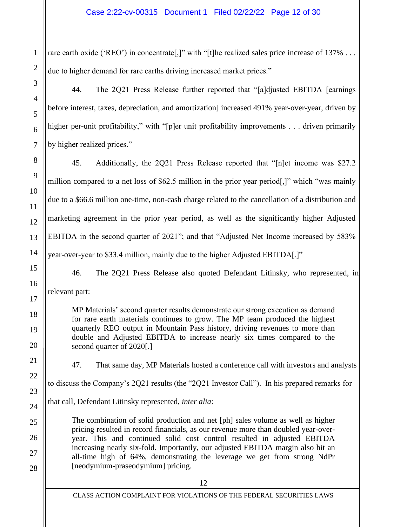rare earth oxide ('REO') in concentrate<sup>[1]</sup>, with "[t]he realized sales price increase of 137% ... due to higher demand for rare earths driving increased market prices."

44. The 2Q21 Press Release further reported that "[a]djusted EBITDA [earnings before interest, taxes, depreciation, and amortization] increased 491% year-over-year, driven by higher per-unit profitability," with "[p]er unit profitability improvements . . . driven primarily by higher realized prices."

45. Additionally, the 2Q21 Press Release reported that "[n]et income was \$27.2 million compared to a net loss of \$62.5 million in the prior year period[,]" which "was mainly due to a \$66.6 million one-time, non-cash charge related to the cancellation of a distribution and marketing agreement in the prior year period, as well as the significantly higher Adjusted EBITDA in the second quarter of 2021"; and that "Adjusted Net Income increased by 583% year-over-year to \$33.4 million, mainly due to the higher Adjusted EBITDA[.]"

46. The 2Q21 Press Release also quoted Defendant Litinsky, who represented, in relevant part:

MP Materials' second quarter results demonstrate our strong execution as demand for rare earth materials continues to grow. The MP team produced the highest quarterly REO output in Mountain Pass history, driving revenues to more than double and Adjusted EBITDA to increase nearly six times compared to the second quarter of 2020[.]

47. That same day, MP Materials hosted a conference call with investors and analysts

to discuss the Company's 2Q21 results (the "2Q21 Investor Call"). In his prepared remarks for

that call, Defendant Litinsky represented, *inter alia*:

The combination of solid production and net [ph] sales volume as well as higher pricing resulted in record financials, as our revenue more than doubled year-overyear. This and continued solid cost control resulted in adjusted EBITDA increasing nearly six-fold. Importantly, our adjusted EBITDA margin also hit an all-time high of 64%, demonstrating the leverage we get from strong NdPr [neodymium-praseodymium] pricing.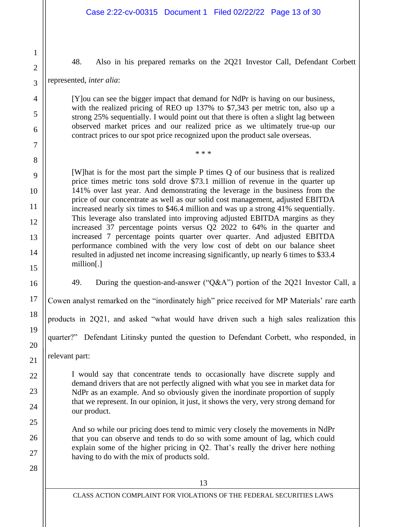48. Also in his prepared remarks on the 2Q21 Investor Call, Defendant Corbett

represented, *inter alia*:

1

2

3

4

5

6

7

8

9

10

11

12

13

14

15

16

17

18

19

20

21

22

23

24

25

26

27

28

[Y]ou can see the bigger impact that demand for NdPr is having on our business, with the realized pricing of REO up 137% to \$7,343 per metric ton, also up a strong 25% sequentially. I would point out that there is often a slight lag between observed market prices and our realized price as we ultimately true-up our contract prices to our spot price recognized upon the product sale overseas.

\* \* \*

[W]hat is for the most part the simple P times Q of our business that is realized price times metric tons sold drove \$73.1 million of revenue in the quarter up 141% over last year. And demonstrating the leverage in the business from the price of our concentrate as well as our solid cost management, adjusted EBITDA increased nearly six times to \$46.4 million and was up a strong 41% sequentially. This leverage also translated into improving adjusted EBITDA margins as they increased 37 percentage points versus Q2 2022 to 64% in the quarter and increased 7 percentage points quarter over quarter. And adjusted EBITDA performance combined with the very low cost of debt on our balance sheet resulted in adjusted net income increasing significantly, up nearly 6 times to \$33.4 million[.]

49. During the question-and-answer ("Q&A") portion of the 2Q21 Investor Call, a

Cowen analyst remarked on the "inordinately high" price received for MP Materials' rare earth

products in 2Q21, and asked "what would have driven such a high sales realization this

quarter?" Defendant Litinsky punted the question to Defendant Corbett, who responded, in

relevant part:

I would say that concentrate tends to occasionally have discrete supply and demand drivers that are not perfectly aligned with what you see in market data for NdPr as an example. And so obviously given the inordinate proportion of supply that we represent. In our opinion, it just, it shows the very, very strong demand for our product.

And so while our pricing does tend to mimic very closely the movements in NdPr that you can observe and tends to do so with some amount of lag, which could explain some of the higher pricing in Q2. That's really the driver here nothing having to do with the mix of products sold.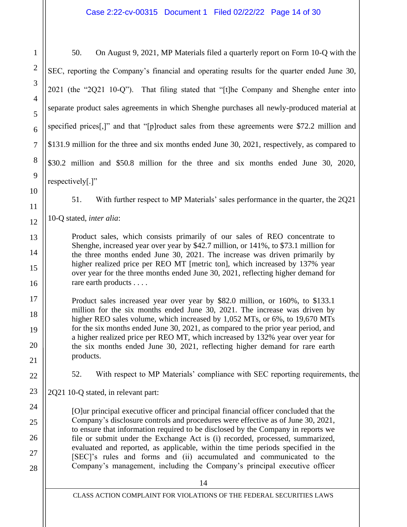50. On August 9, 2021, MP Materials filed a quarterly report on Form 10-Q with the SEC, reporting the Company's financial and operating results for the quarter ended June 30, 2021 (the "2Q21 10-Q"). That filing stated that "[t]he Company and Shenghe enter into separate product sales agreements in which Shenghe purchases all newly-produced material at specified prices[,]" and that "[p]roduct sales from these agreements were \$72.2 million and \$131.9 million for the three and six months ended June 30, 2021, respectively, as compared to \$30.2 million and \$50.8 million for the three and six months ended June 30, 2020, respectively[.]"

51. With further respect to MP Materials' sales performance in the quarter, the 2Q21

10-Q stated, *inter alia*:

Product sales, which consists primarily of our sales of REO concentrate to Shenghe, increased year over year by \$42.7 million, or 141%, to \$73.1 million for the three months ended June 30, 2021. The increase was driven primarily by higher realized price per REO MT [metric ton], which increased by 137% year over year for the three months ended June 30, 2021, reflecting higher demand for rare earth products . . . .

Product sales increased year over year by \$82.0 million, or 160%, to \$133.1 million for the six months ended June 30, 2021. The increase was driven by higher REO sales volume, which increased by 1,052 MTs, or 6%, to 19,670 MTs for the six months ended June 30, 2021, as compared to the prior year period, and a higher realized price per REO MT, which increased by 132% year over year for the six months ended June 30, 2021, reflecting higher demand for rare earth products.

52. With respect to MP Materials' compliance with SEC reporting requirements, the

2Q21 10-Q stated, in relevant part:

[O]ur principal executive officer and principal financial officer concluded that the Company's disclosure controls and procedures were effective as of June 30, 2021, to ensure that information required to be disclosed by the Company in reports we file or submit under the Exchange Act is (i) recorded, processed, summarized, evaluated and reported, as applicable, within the time periods specified in the [SEC]'s rules and forms and (ii) accumulated and communicated to the Company's management, including the Company's principal executive officer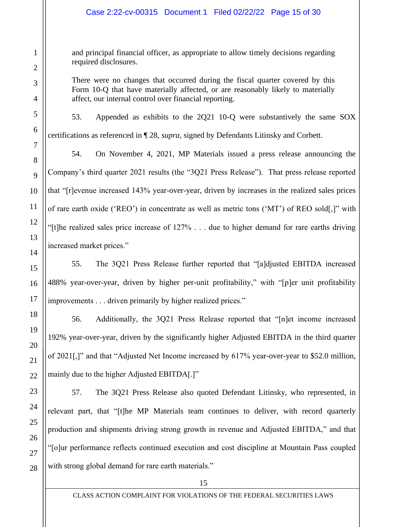and principal financial officer, as appropriate to allow timely decisions regarding required disclosures.

There were no changes that occurred during the fiscal quarter covered by this Form 10-Q that have materially affected, or are reasonably likely to materially affect, our internal control over financial reporting.

53. Appended as exhibits to the 2Q21 10-Q were substantively the same SOX certifications as referenced in ¶ 28, *supra*, signed by Defendants Litinsky and Corbett.

54. On November 4, 2021, MP Materials issued a press release announcing the Company's third quarter 2021 results (the "3Q21 Press Release"). That press release reported that "[r]evenue increased 143% year-over-year, driven by increases in the realized sales prices of rare earth oxide ('REO') in concentrate as well as metric tons ('MT') of REO sold[,]" with "[t]he realized sales price increase of 127% . . . due to higher demand for rare earths driving increased market prices."

55. The 3Q21 Press Release further reported that "[a]djusted EBITDA increased 488% year-over-year, driven by higher per-unit profitability," with "[p]er unit profitability improvements . . . driven primarily by higher realized prices."

56. Additionally, the 3Q21 Press Release reported that "[n]et income increased 192% year-over-year, driven by the significantly higher Adjusted EBITDA in the third quarter of 2021[,]" and that "Adjusted Net Income increased by 617% year-over-year to \$52.0 million, mainly due to the higher Adjusted EBITDA[.]"

57. The 3Q21 Press Release also quoted Defendant Litinsky, who represented, in relevant part, that "[t]he MP Materials team continues to deliver, with record quarterly production and shipments driving strong growth in revenue and Adjusted EBITDA," and that "[o]ur performance reflects continued execution and cost discipline at Mountain Pass coupled with strong global demand for rare earth materials."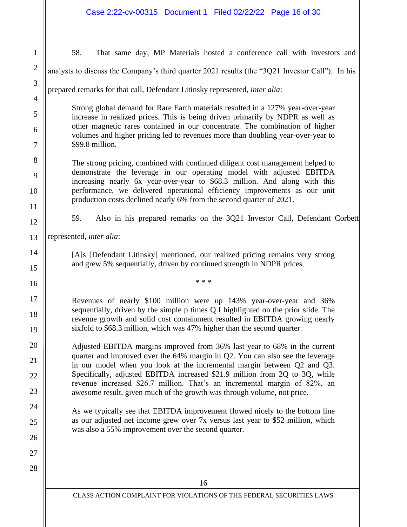16 CLASS ACTION COMPLAINT FOR VIOLATIONS OF THE FEDERAL SECURITIES LAWS 1 2 3 4 5 6 7 8 9 10 11 12 13 14 15 16 17 18 19 20 21 22 23 24 25 26 27 28 58. That same day, MP Materials hosted a conference call with investors and analysts to discuss the Company's third quarter 2021 results (the "3Q21 Investor Call"). In his prepared remarks for that call, Defendant Litinsky represented, *inter alia*: Strong global demand for Rare Earth materials resulted in a 127% year-over-year increase in realized prices. This is being driven primarily by NDPR as well as other magnetic rares contained in our concentrate. The combination of higher volumes and higher pricing led to revenues more than doubling year-over-year to \$99.8 million. The strong pricing, combined with continued diligent cost management helped to demonstrate the leverage in our operating model with adjusted EBITDA increasing nearly 6x year-over-year to \$68.3 million. And along with this performance, we delivered operational efficiency improvements as our unit production costs declined nearly 6% from the second quarter of 2021. 59. Also in his prepared remarks on the 3Q21 Investor Call, Defendant Corbett represented, *inter alia*: [A]s [Defendant Litinsky] mentioned, our realized pricing remains very strong and grew 5% sequentially, driven by continued strength in NDPR prices. \* \* \* Revenues of nearly \$100 million were up 143% year-over-year and 36% sequentially, driven by the simple p times Q I highlighted on the prior slide. The revenue growth and solid cost containment resulted in EBITDA growing nearly sixfold to \$68.3 million, which was 47% higher than the second quarter. Adjusted EBITDA margins improved from 36% last year to 68% in the current quarter and improved over the 64% margin in Q2. You can also see the leverage in our model when you look at the incremental margin between Q2 and Q3. Specifically, adjusted EBITDA increased \$21.9 million from 2Q to 3Q, while revenue increased \$26.7 million. That's an incremental margin of 82%, an awesome result, given much of the growth was through volume, not price. As we typically see that EBITDA improvement flowed nicely to the bottom line as our adjusted net income grew over 7x versus last year to \$52 million, which was also a 55% improvement over the second quarter.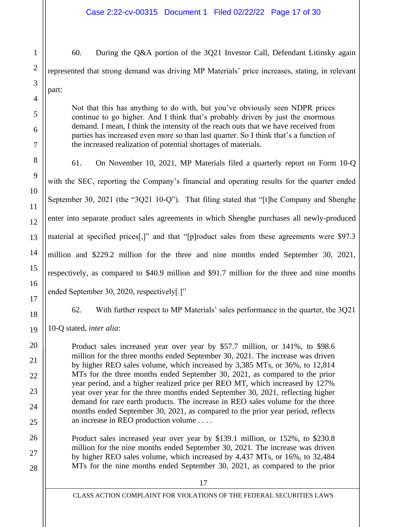60. During the Q&A portion of the 3Q21 Investor Call, Defendant Litinsky again represented that strong demand was driving MP Materials' price increases, stating, in relevant part:

Not that this has anything to do with, but you've obviously seen NDPR prices continue to go higher. And I think that's probably driven by just the enormous demand. I mean, I think the intensity of the reach outs that we have received from parties has increased even more so than last quarter. So I think that's a function of the increased realization of potential shortages of materials.

61. On November 10, 2021, MP Materials filed a quarterly report on Form 10-Q with the SEC, reporting the Company's financial and operating results for the quarter ended September 30, 2021 (the "3Q21 10-Q"). That filing stated that "[t]he Company and Shenghe enter into separate product sales agreements in which Shenghe purchases all newly-produced material at specified prices[,]" and that "[p]roduct sales from these agreements were \$97.3 million and \$229.2 million for the three and nine months ended September 30, 2021, respectively, as compared to \$40.9 million and \$91.7 million for the three and nine months ended September 30, 2020, respectively[.]"

62. With further respect to MP Materials' sales performance in the quarter, the 3Q21

10-Q stated, *inter alia*:

1

2

3

4

5

6

7

8

9

10

11

12

13

14

15

16

17

18

19

20

21

22

23

24

25

26

27

28

Product sales increased year over year by \$57.7 million, or 141%, to \$98.6 million for the three months ended September 30, 2021. The increase was driven by higher REO sales volume, which increased by 3,385 MTs, or 36%, to 12,814 MTs for the three months ended September 30, 2021, as compared to the prior year period, and a higher realized price per REO MT, which increased by 127% year over year for the three months ended September 30, 2021, reflecting higher demand for rare earth products. The increase in REO sales volume for the three months ended September 30, 2021, as compared to the prior year period, reflects an increase in REO production volume . . . .

Product sales increased year over year by \$139.1 million, or 152%, to \$230.8 million for the nine months ended September 30, 2021. The increase was driven by higher REO sales volume, which increased by 4,437 MTs, or 16%, to 32,484 MTs for the nine months ended September 30, 2021, as compared to the prior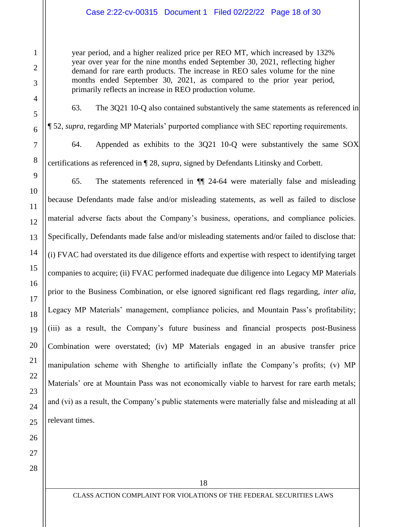## Case 2:22-cv-00315 Document 1 Filed 02/22/22 Page 18 of 30

year period, and a higher realized price per REO MT, which increased by 132% year over year for the nine months ended September 30, 2021, reflecting higher demand for rare earth products. The increase in REO sales volume for the nine months ended September 30, 2021, as compared to the prior year period, primarily reflects an increase in REO production volume.

63. The 3Q21 10-Q also contained substantively the same statements as referenced in ¶ 52, *supra*, regarding MP Materials' purported compliance with SEC reporting requirements.

64. Appended as exhibits to the 3Q21 10-Q were substantively the same SOX certifications as referenced in ¶ 28, *supra*, signed by Defendants Litinsky and Corbett.

65. The statements referenced in ¶¶ 24-64 were materially false and misleading because Defendants made false and/or misleading statements, as well as failed to disclose material adverse facts about the Company's business, operations, and compliance policies. Specifically, Defendants made false and/or misleading statements and/or failed to disclose that: (i) FVAC had overstated its due diligence efforts and expertise with respect to identifying target companies to acquire; (ii) FVAC performed inadequate due diligence into Legacy MP Materials prior to the Business Combination, or else ignored significant red flags regarding, *inter alia*, Legacy MP Materials' management, compliance policies, and Mountain Pass's profitability; (iii) as a result, the Company's future business and financial prospects post-Business Combination were overstated; (iv) MP Materials engaged in an abusive transfer price manipulation scheme with Shenghe to artificially inflate the Company's profits; (v) MP Materials' ore at Mountain Pass was not economically viable to harvest for rare earth metals; and (vi) as a result, the Company's public statements were materially false and misleading at all relevant times.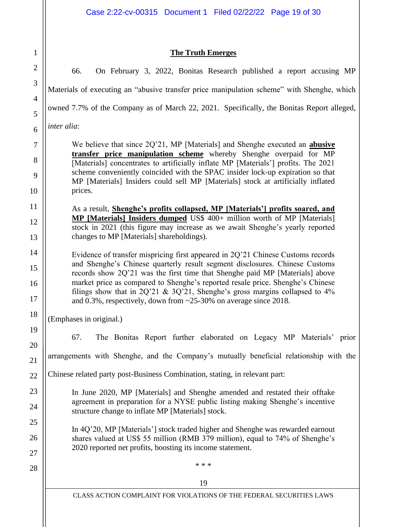# **The Truth Emerges**

19 CLASS ACTION COMPLAINT FOR VIOLATIONS OF THE FEDERAL SECURITIES LAWS 22 23 24 25 26 27 28 66. On February 3, 2022, Bonitas Research published a report accusing MP Materials of executing an "abusive transfer price manipulation scheme" with Shenghe, which owned 7.7% of the Company as of March 22, 2021. Specifically, the Bonitas Report alleged, *inter alia*: We believe that since 2Q'21, MP [Materials] and Shenghe executed an **abusive transfer price manipulation scheme** whereby Shenghe overpaid for MP [Materials] concentrates to artificially inflate MP [Materials'] profits. The 2021 scheme conveniently coincided with the SPAC insider lock-up expiration so that MP [Materials] Insiders could sell MP [Materials] stock at artificially inflated prices. As a result, **Shenghe's profits collapsed, MP [Materials'] profits soared, and MP [Materials] Insiders dumped** US\$ 400+ million worth of MP [Materials] stock in 2021 (this figure may increase as we await Shenghe's yearly reported changes to MP [Materials] shareholdings). Evidence of transfer mispricing first appeared in 2Q'21 Chinese Customs records and Shenghe's Chinese quarterly result segment disclosures. Chinese Customs records show 2Q'21 was the first time that Shenghe paid MP [Materials] above market price as compared to Shenghe's reported resale price. Shenghe's Chinese filings show that in  $2Q'21 \& 3Q'21$ , Shenghe's gross margins collapsed to  $4\%$ and 0.3%, respectively, down from ~25-30% on average since 2018. (Emphases in original.) 67. The Bonitas Report further elaborated on Legacy MP Materials' prior arrangements with Shenghe, and the Company's mutually beneficial relationship with the Chinese related party post-Business Combination, stating, in relevant part: In June 2020, MP [Materials] and Shenghe amended and restated their offtake agreement in preparation for a NYSE public listing making Shenghe's incentive structure change to inflate MP [Materials] stock. In 4Q'20, MP [Materials'] stock traded higher and Shenghe was rewarded earnout shares valued at US\$ 55 million (RMB 379 million), equal to 74% of Shenghe's 2020 reported net profits, boosting its income statement. \* \* \*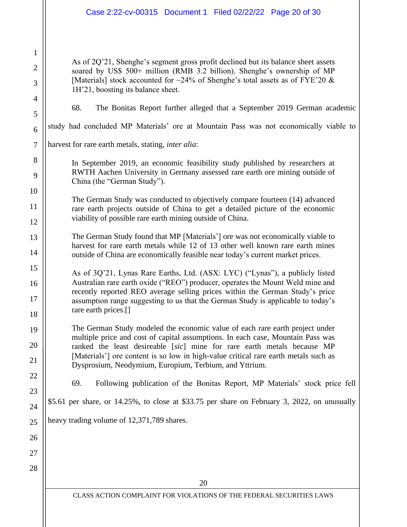## Case 2:22-cv-00315 Document 1 Filed 02/22/22 Page 20 of 30

As of 2Q'21, Shenghe's segment gross profit declined but its balance sheet assets soared by US\$ 500+ million (RMB 3.2 billion). Shenghe's ownership of MP [Materials] stock accounted for  $\sim$ 24% of Shenghe's total assets as of FYE'20 & 1H'21, boosting its balance sheet.

1

2

3

4

5

6

7

8

9

10

11

12

13

14

15

16

17

18

19

20

21

22

68. The Bonitas Report further alleged that a September 2019 German academic

study had concluded MP Materials' ore at Mountain Pass was not economically viable to

harvest for rare earth metals, stating, *inter alia*:

In September 2019, an economic feasibility study published by researchers at RWTH Aachen University in Germany assessed rare earth ore mining outside of China (the "German Study").

The German Study was conducted to objectively compare fourteen (14) advanced rare earth projects outside of China to get a detailed picture of the economic viability of possible rare earth mining outside of China.

The German Study found that MP [Materials'] ore was not economically viable to harvest for rare earth metals while 12 of 13 other well known rare earth mines outside of China are economically feasible near today's current market prices.

As of 3Q'21, Lynas Rare Earths, Ltd. (ASX: LYC) ("Lynas"), a publicly listed Australian rare earth oxide ("REO") producer, operates the Mount Weld mine and recently reported REO average selling prices within the German Study's price assumption range suggesting to us that the German Study is applicable to today's rare earth prices.[]

The German Study modeled the economic value of each rare earth project under multiple price and cost of capital assumptions. In each case, Mountain Pass was ranked the least desireable [*sic*] mine for rare earth metals because MP [Materials'] ore content is so low in high-value critical rare earth metals such as Dysprosium, Neodymium, Europium, Terbium, and Yttrium.

69. Following publication of the Bonitas Report, MP Materials' stock price fell

\$5.61 per share, or 14.25%, to close at \$33.75 per share on February 3, 2022, on unusually

heavy trading volume of 12,371,789 shares.

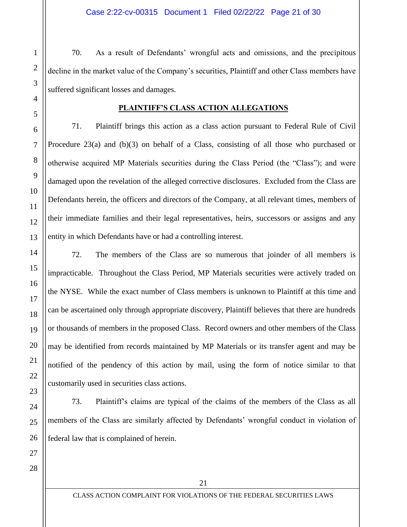70. As a result of Defendants' wrongful acts and omissions, and the precipitous decline in the market value of the Company's securities, Plaintiff and other Class members have suffered significant losses and damages.

## **PLAINTIFF'S CLASS ACTION ALLEGATIONS**

71. Plaintiff brings this action as a class action pursuant to Federal Rule of Civil Procedure 23(a) and (b)(3) on behalf of a Class, consisting of all those who purchased or otherwise acquired MP Materials securities during the Class Period (the "Class"); and were damaged upon the revelation of the alleged corrective disclosures. Excluded from the Class are Defendants herein, the officers and directors of the Company, at all relevant times, members of their immediate families and their legal representatives, heirs, successors or assigns and any entity in which Defendants have or had a controlling interest.

72. The members of the Class are so numerous that joinder of all members is impracticable. Throughout the Class Period, MP Materials securities were actively traded on the NYSE. While the exact number of Class members is unknown to Plaintiff at this time and can be ascertained only through appropriate discovery, Plaintiff believes that there are hundreds or thousands of members in the proposed Class. Record owners and other members of the Class may be identified from records maintained by MP Materials or its transfer agent and may be notified of the pendency of this action by mail, using the form of notice similar to that customarily used in securities class actions.

73. Plaintiff's claims are typical of the claims of the members of the Class as all members of the Class are similarly affected by Defendants' wrongful conduct in violation of federal law that is complained of herein.

28

27

1

2

3

4

5

6

7

8

9

10

11

12

13

14

15

16

17

18

19

20

21

22

23

24

25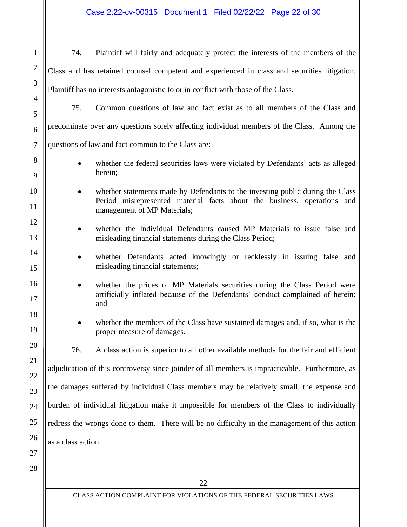Case 2:22-cv-00315 Document 1 Filed 02/22/22 Page 22 of 30

22 1 2 3 4 5 6 7 8 9 10 11 12 13 14 15 16 17 18 19 20 21 22 23 24 25 26 27 28 74. Plaintiff will fairly and adequately protect the interests of the members of the Class and has retained counsel competent and experienced in class and securities litigation. Plaintiff has no interests antagonistic to or in conflict with those of the Class. 75. Common questions of law and fact exist as to all members of the Class and predominate over any questions solely affecting individual members of the Class. Among the questions of law and fact common to the Class are: whether the federal securities laws were violated by Defendants' acts as alleged herein; whether statements made by Defendants to the investing public during the Class Period misrepresented material facts about the business, operations and management of MP Materials; • whether the Individual Defendants caused MP Materials to issue false and misleading financial statements during the Class Period; • whether Defendants acted knowingly or recklessly in issuing false and misleading financial statements; whether the prices of MP Materials securities during the Class Period were artificially inflated because of the Defendants' conduct complained of herein; and • whether the members of the Class have sustained damages and, if so, what is the proper measure of damages. 76. A class action is superior to all other available methods for the fair and efficient adjudication of this controversy since joinder of all members is impracticable. Furthermore, as the damages suffered by individual Class members may be relatively small, the expense and burden of individual litigation make it impossible for members of the Class to individually redress the wrongs done to them. There will be no difficulty in the management of this action as a class action.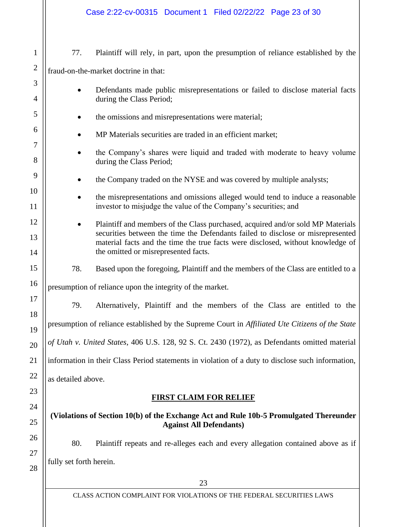| Case 2:22-cv-00315 Document 1 Filed 02/22/22 Page 23 of 30                                                                                                                                                 |  |  |  |  |
|------------------------------------------------------------------------------------------------------------------------------------------------------------------------------------------------------------|--|--|--|--|
| 77.<br>Plaintiff will rely, in part, upon the presumption of reliance established by the                                                                                                                   |  |  |  |  |
| fraud-on-the-market doctrine in that:                                                                                                                                                                      |  |  |  |  |
| Defendants made public misrepresentations or failed to disclose material facts                                                                                                                             |  |  |  |  |
| during the Class Period;                                                                                                                                                                                   |  |  |  |  |
| the omissions and misrepresentations were material;                                                                                                                                                        |  |  |  |  |
| MP Materials securities are traded in an efficient market;                                                                                                                                                 |  |  |  |  |
| the Company's shares were liquid and traded with moderate to heavy volume<br>during the Class Period;                                                                                                      |  |  |  |  |
| the Company traded on the NYSE and was covered by multiple analysts;                                                                                                                                       |  |  |  |  |
| the misrepresentations and omissions alleged would tend to induce a reasonable<br>investor to misjudge the value of the Company's securities; and                                                          |  |  |  |  |
| Plaintiff and members of the Class purchased, acquired and/or sold MP Materials                                                                                                                            |  |  |  |  |
| securities between the time the Defendants failed to disclose or misrepresented<br>material facts and the time the true facts were disclosed, without knowledge of<br>the omitted or misrepresented facts. |  |  |  |  |
| 78.<br>Based upon the foregoing, Plaintiff and the members of the Class are entitled to a                                                                                                                  |  |  |  |  |
| presumption of reliance upon the integrity of the market.                                                                                                                                                  |  |  |  |  |
| Alternatively, Plaintiff and the members of the Class are entitled to the<br>79.                                                                                                                           |  |  |  |  |
| presumption of reliance established by the Supreme Court in Affiliated Ute Citizens of the State                                                                                                           |  |  |  |  |
| of Utah v. United States, 406 U.S. 128, 92 S. Ct. 2430 (1972), as Defendants omitted material                                                                                                              |  |  |  |  |
|                                                                                                                                                                                                            |  |  |  |  |
| information in their Class Period statements in violation of a duty to disclose such information,                                                                                                          |  |  |  |  |
| as detailed above.                                                                                                                                                                                         |  |  |  |  |
| <b>FIRST CLAIM FOR RELIEF</b>                                                                                                                                                                              |  |  |  |  |
| (Violations of Section 10(b) of the Exchange Act and Rule 10b-5 Promulgated Thereunder<br><b>Against All Defendants)</b>                                                                                   |  |  |  |  |
| 80.<br>Plaintiff repeats and re-alleges each and every allegation contained above as if                                                                                                                    |  |  |  |  |
| fully set forth herein.                                                                                                                                                                                    |  |  |  |  |
|                                                                                                                                                                                                            |  |  |  |  |
|                                                                                                                                                                                                            |  |  |  |  |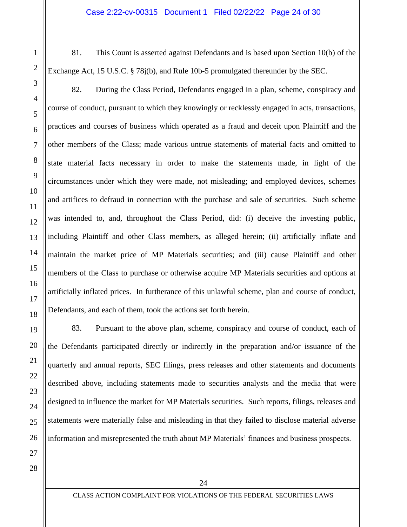81. This Count is asserted against Defendants and is based upon Section 10(b) of the Exchange Act, 15 U.S.C. § 78j(b), and Rule 10b-5 promulgated thereunder by the SEC.

82. During the Class Period, Defendants engaged in a plan, scheme, conspiracy and course of conduct, pursuant to which they knowingly or recklessly engaged in acts, transactions, practices and courses of business which operated as a fraud and deceit upon Plaintiff and the other members of the Class; made various untrue statements of material facts and omitted to state material facts necessary in order to make the statements made, in light of the circumstances under which they were made, not misleading; and employed devices, schemes and artifices to defraud in connection with the purchase and sale of securities. Such scheme was intended to, and, throughout the Class Period, did: (i) deceive the investing public, including Plaintiff and other Class members, as alleged herein; (ii) artificially inflate and maintain the market price of MP Materials securities; and (iii) cause Plaintiff and other members of the Class to purchase or otherwise acquire MP Materials securities and options at artificially inflated prices. In furtherance of this unlawful scheme, plan and course of conduct, Defendants, and each of them, took the actions set forth herein.

83. Pursuant to the above plan, scheme, conspiracy and course of conduct, each of the Defendants participated directly or indirectly in the preparation and/or issuance of the quarterly and annual reports, SEC filings, press releases and other statements and documents described above, including statements made to securities analysts and the media that were designed to influence the market for MP Materials securities. Such reports, filings, releases and statements were materially false and misleading in that they failed to disclose material adverse information and misrepresented the truth about MP Materials' finances and business prospects.

27 28

1

2

3

4

5

6

7

8

9

10

11

12

13

14

15

16

17

18

19

20

21

22

23

24

25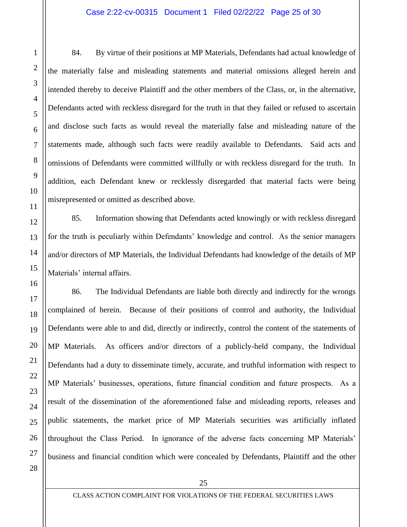#### Case 2:22-cv-00315 Document 1 Filed 02/22/22 Page 25 of 30

84. By virtue of their positions at MP Materials, Defendants had actual knowledge of the materially false and misleading statements and material omissions alleged herein and intended thereby to deceive Plaintiff and the other members of the Class, or, in the alternative, Defendants acted with reckless disregard for the truth in that they failed or refused to ascertain and disclose such facts as would reveal the materially false and misleading nature of the statements made, although such facts were readily available to Defendants. Said acts and omissions of Defendants were committed willfully or with reckless disregard for the truth. In addition, each Defendant knew or recklessly disregarded that material facts were being misrepresented or omitted as described above.

85. Information showing that Defendants acted knowingly or with reckless disregard for the truth is peculiarly within Defendants' knowledge and control. As the senior managers and/or directors of MP Materials, the Individual Defendants had knowledge of the details of MP Materials' internal affairs.

86. The Individual Defendants are liable both directly and indirectly for the wrongs complained of herein. Because of their positions of control and authority, the Individual Defendants were able to and did, directly or indirectly, control the content of the statements of MP Materials. As officers and/or directors of a publicly-held company, the Individual Defendants had a duty to disseminate timely, accurate, and truthful information with respect to MP Materials' businesses, operations, future financial condition and future prospects. As a result of the dissemination of the aforementioned false and misleading reports, releases and public statements, the market price of MP Materials securities was artificially inflated throughout the Class Period. In ignorance of the adverse facts concerning MP Materials' business and financial condition which were concealed by Defendants, Plaintiff and the other

27 28

1

2

3

4

5

6

7

8

9

10

11

12

13

14

15

16

17

18

19

20

21

22

23

24

25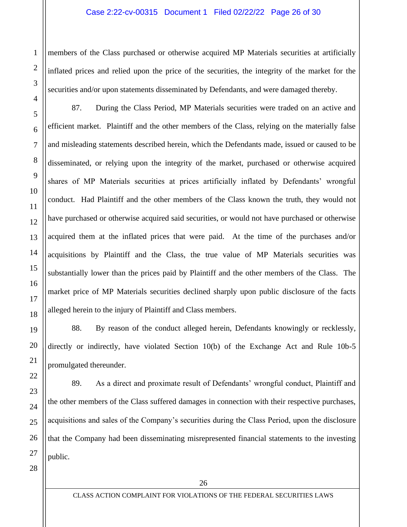#### Case 2:22-cv-00315 Document 1 Filed 02/22/22 Page 26 of 30

members of the Class purchased or otherwise acquired MP Materials securities at artificially inflated prices and relied upon the price of the securities, the integrity of the market for the securities and/or upon statements disseminated by Defendants, and were damaged thereby.

87. During the Class Period, MP Materials securities were traded on an active and efficient market. Plaintiff and the other members of the Class, relying on the materially false and misleading statements described herein, which the Defendants made, issued or caused to be disseminated, or relying upon the integrity of the market, purchased or otherwise acquired shares of MP Materials securities at prices artificially inflated by Defendants' wrongful conduct. Had Plaintiff and the other members of the Class known the truth, they would not have purchased or otherwise acquired said securities, or would not have purchased or otherwise acquired them at the inflated prices that were paid. At the time of the purchases and/or acquisitions by Plaintiff and the Class, the true value of MP Materials securities was substantially lower than the prices paid by Plaintiff and the other members of the Class. The market price of MP Materials securities declined sharply upon public disclosure of the facts alleged herein to the injury of Plaintiff and Class members.

88. By reason of the conduct alleged herein, Defendants knowingly or recklessly, directly or indirectly, have violated Section 10(b) of the Exchange Act and Rule 10b-5 promulgated thereunder.

89. As a direct and proximate result of Defendants' wrongful conduct, Plaintiff and the other members of the Class suffered damages in connection with their respective purchases, acquisitions and sales of the Company's securities during the Class Period, upon the disclosure that the Company had been disseminating misrepresented financial statements to the investing public.

28

1

2

3

4

5

6

7

8

9

10

11

12

13

14

15

16

17

18

19

20

21

22

23

24

25

26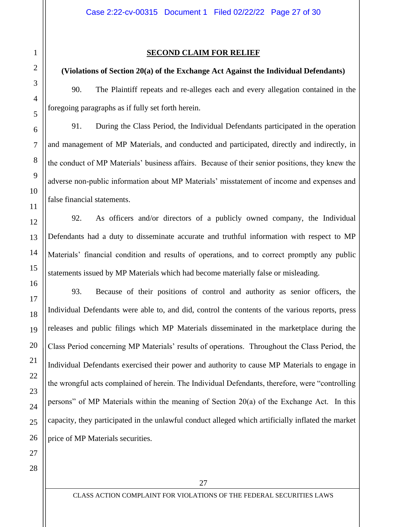## **(Violations of Section 20(a) of the Exchange Act Against the Individual Defendants)**

90. The Plaintiff repeats and re-alleges each and every allegation contained in the foregoing paragraphs as if fully set forth herein.

91. During the Class Period, the Individual Defendants participated in the operation and management of MP Materials, and conducted and participated, directly and indirectly, in the conduct of MP Materials' business affairs. Because of their senior positions, they knew the adverse non-public information about MP Materials' misstatement of income and expenses and false financial statements.

92. As officers and/or directors of a publicly owned company, the Individual Defendants had a duty to disseminate accurate and truthful information with respect to MP Materials' financial condition and results of operations, and to correct promptly any public statements issued by MP Materials which had become materially false or misleading.

93. Because of their positions of control and authority as senior officers, the Individual Defendants were able to, and did, control the contents of the various reports, press releases and public filings which MP Materials disseminated in the marketplace during the Class Period concerning MP Materials' results of operations. Throughout the Class Period, the Individual Defendants exercised their power and authority to cause MP Materials to engage in the wrongful acts complained of herein. The Individual Defendants, therefore, were "controlling persons" of MP Materials within the meaning of Section 20(a) of the Exchange Act. In this capacity, they participated in the unlawful conduct alleged which artificially inflated the market price of MP Materials securities.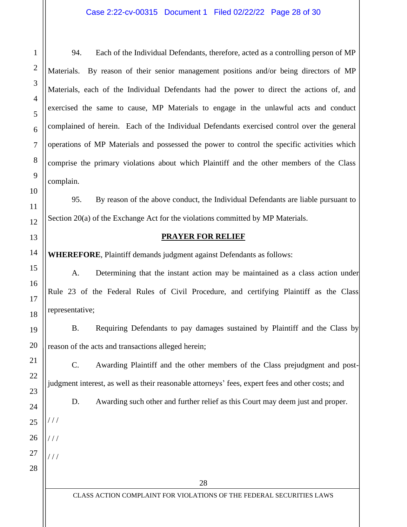94. Each of the Individual Defendants, therefore, acted as a controlling person of MP Materials. By reason of their senior management positions and/or being directors of MP Materials, each of the Individual Defendants had the power to direct the actions of, and exercised the same to cause, MP Materials to engage in the unlawful acts and conduct complained of herein. Each of the Individual Defendants exercised control over the general operations of MP Materials and possessed the power to control the specific activities which comprise the primary violations about which Plaintiff and the other members of the Class complain.

95. By reason of the above conduct, the Individual Defendants are liable pursuant to Section 20(a) of the Exchange Act for the violations committed by MP Materials.

## **PRAYER FOR RELIEF**

**WHEREFORE**, Plaintiff demands judgment against Defendants as follows:

A. Determining that the instant action may be maintained as a class action under Rule 23 of the Federal Rules of Civil Procedure, and certifying Plaintiff as the Class representative;

B. Requiring Defendants to pay damages sustained by Plaintiff and the Class by reason of the acts and transactions alleged herein;

C. Awarding Plaintiff and the other members of the Class prejudgment and postjudgment interest, as well as their reasonable attorneys' fees, expert fees and other costs; and

D. Awarding such other and further relief as this Court may deem just and proper.

28

/ / /

 $111$ 

 $1/1$